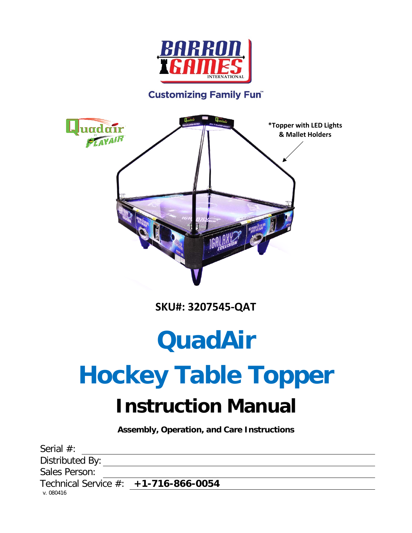

#### **Customizing Family Fun®**



**SKU#: 3207545-QAT**

# **QuadAir**

# **Hockey Table Topper Instruction Manual**

**Assembly, Operation, and Care Instructions**

| Serial $#$ :                           |  |
|----------------------------------------|--|
| Distributed By:                        |  |
| Sales Person:                          |  |
| Technical Service $#: +1-716-866-0054$ |  |
| v. 080416                              |  |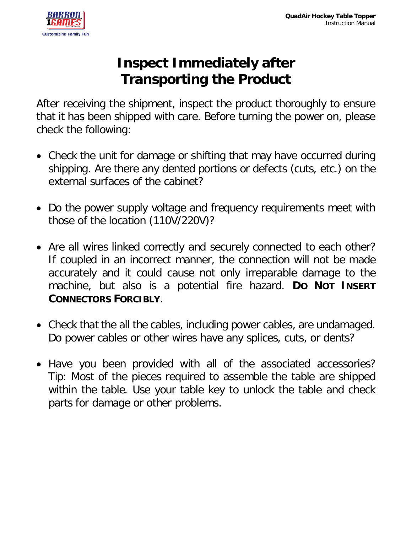

### **Inspect Immediately after Transporting the Product**

After receiving the shipment, inspect the product thoroughly to ensure that it has been shipped with care. Before turning the power on, please check the following:

- Check the unit for damage or shifting that may have occurred during shipping. Are there any dented portions or defects (cuts, etc.) on the external surfaces of the cabinet?
- Do the power supply voltage and frequency requirements meet with those of the location (110V/220V)?
- Are all wires linked correctly and securely connected to each other? If coupled in an incorrect manner, the connection will not be made accurately and it could cause not only irreparable damage to the machine, but also is a potential fire hazard. **DO NOT INSERT CONNECTORS FORCIBLY**.
- Check that the all the cables, including power cables, are undamaged. Do power cables or other wires have any splices, cuts, or dents?
- Have you been provided with all of the associated accessories? Tip: Most of the pieces required to assemble the table are shipped within the table. Use your table key to unlock the table and check parts for damage or other problems.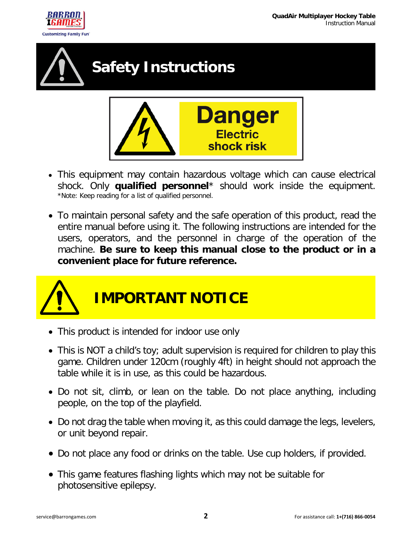





- This equipment may contain hazardous voltage which can cause electrical shock. Only **qualified personnel**<sup>\*</sup> should work inside the equipment.<br>\*Note: Keep reading for a list of qualified personnel.
- To maintain personal safety and the safe operation of this product, read the entire manual before using it. The following instructions are intended for the users, operators, and the personnel in charge of the operation of the machine. **Be sure to keep this manual close to the product or in a convenient place for future reference.**



- This product is intended for indoor use only
- This is NOT a child's toy; adult supervision is required for children to play this game. Children under 120cm (roughly 4ft) in height should not approach the table while it is in use, as this could be hazardous.
- Do not sit, climb, or lean on the table. Do not place anything, including people, on the top of the playfield.
- Do not drag the table when moving it, as this could damage the legs, levelers, or unit beyond repair.
- Do not place any food or drinks on the table. Use cup holders, if provided.
- This game features flashing lights which may not be suitable for photosensitive epilepsy.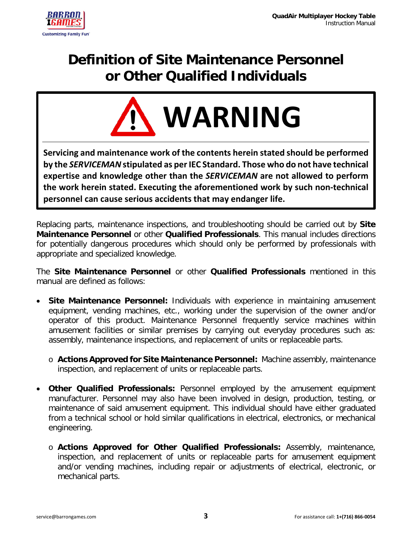

### **Definition of Site Maintenance Personnel or Other Qualified Individuals**



**Servicing and maintenance work of the contents herein stated should be performed by the** *SERVICEMAN* **stipulated as per IEC Standard. Those who do not have technical expertise and knowledge other than the** *SERVICEMAN* **are not allowed to perform the work herein stated. Executing the aforementioned work by such non-technical personnel can cause serious accidents that may endanger life.**

Replacing parts, maintenance inspections, and troubleshooting should be carried out by **Site Maintenance Personnel** or other **Qualified Professionals**. This manual includes directions for potentially dangerous procedures which should only be performed by professionals with appropriate and specialized knowledge.

The **Site Maintenance Personnel** or other **Qualified Professionals** mentioned in this manual are defined as follows:

- **Site Maintenance Personnel:** Individuals with experience in maintaining amusement equipment, vending machines, etc., working under the supervision of the owner and/or operator of this product. Maintenance Personnel frequently service machines within amusement facilities or similar premises by carrying out everyday procedures such as: assembly, maintenance inspections, and replacement of units or replaceable parts.
	- o **Actions Approved for Site Maintenance Personnel:** Machine assembly, maintenance inspection, and replacement of units or replaceable parts.
- **Other Qualified Professionals:** Personnel employed by the amusement equipment manufacturer. Personnel may also have been involved in design, production, testing, or maintenance of said amusement equipment. This individual should have either graduated from a technical school or hold similar qualifications in electrical, electronics, or mechanical engineering.
	- o **Actions Approved for Other Qualified Professionals:** Assembly, maintenance, inspection, and replacement of units or replaceable parts for amusement equipment and/or vending machines, including repair or adjustments of electrical, electronic, or mechanical parts.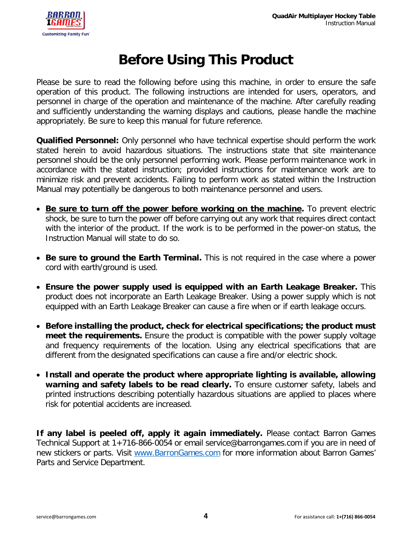

### **Before Using This Product**

Please be sure to read the following before using this machine, in order to ensure the safe operation of this product. The following instructions are intended for users, operators, and personnel in charge of the operation and maintenance of the machine. After carefully reading and sufficiently understanding the warning displays and cautions, please handle the machine appropriately. Be sure to keep this manual for future reference.

**Qualified Personnel:** Only personnel who have technical expertise should perform the work stated herein to avoid hazardous situations. The instructions state that site maintenance personnel should be the only personnel performing work. Please perform maintenance work in accordance with the stated instruction; provided instructions for maintenance work are to minimize risk and prevent accidents. Failing to perform work as stated within the Instruction Manual may potentially be dangerous to both maintenance personnel and users.

- **Be sure to turn off the power before working on the machine.** To prevent electric shock, be sure to turn the power off before carrying out any work that requires direct contact with the interior of the product. If the work is to be performed in the power-on status, the Instruction Manual will state to do so.
- **Be sure to ground the Earth Terminal.** This is not required in the case where a power cord with earth/ground is used.
- **Ensure the power supply used is equipped with an Earth Leakage Breaker.** This product does not incorporate an Earth Leakage Breaker. Using a power supply which is not equipped with an Earth Leakage Breaker can cause a fire when or if earth leakage occurs.
- **Before installing the product, check for electrical specifications; the product must meet the requirements.** Ensure the product is compatible with the power supply voltage and frequency requirements of the location. Using any electrical specifications that are different from the designated specifications can cause a fire and/or electric shock.
- **Install and operate the product where appropriate lighting is available, allowing warning and safety labels to be read clearly.** To ensure customer safety, labels and printed instructions describing potentially hazardous situations are applied to places where risk for potential accidents are increased.

**If any label is peeled off, apply it again immediately.** Please contact Barron Games Technical Support at 1+716-866-0054 or email service@barrongames.com if you are in need of new stickers or parts. Visit [www.BarronGames.com](http://www.barrongames.com/) for more information about Barron Games' Parts and Service Department.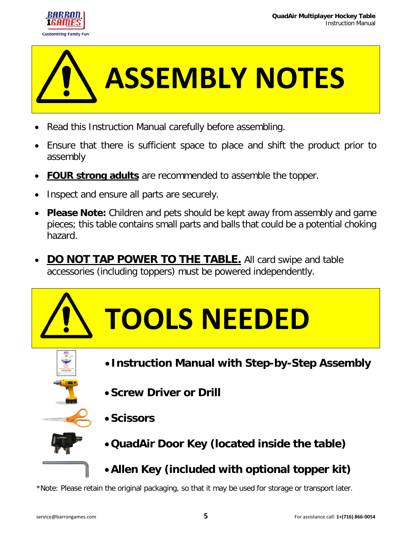



- Read this Instruction Manual carefully before assembling.
- Ensure that there is sufficient space to place and shift the product prior to assembly
- **FOUR strong adults** are recommended to assemble the topper.
- Inspect and ensure all parts are securely.
- **Please Note:** Children and pets should be kept away from assembly and game pieces; this table contains small parts and balls that could be a potential choking hazard.
- **DO NOT TAP POWER TO THE TABLE.** All card swipe and table accessories (including toppers) must be powered independently.





- **Instruction Manual with Step-by-Step Assembly**
- •**Screw Driver or Drill**



- 
- •**QuadAir Door Key (located inside the table)**
- •**Allen Key (included with optional topper kit)**

\*Note: Please retain the original packaging, so that it may be used for storage or transport later.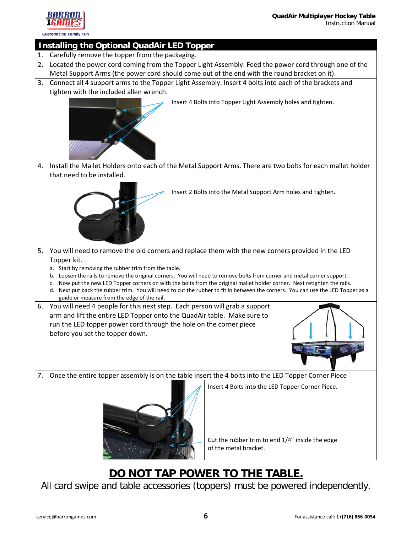



**Customizing Family Fun** 

#### **Installing the Optional QuadAir LED Topper**

- 1. Carefully remove the topper from the packaging.
- 2. Located the power cord coming from the Topper Light Assembly. Feed the power cord through one of the Metal Support Arms (the power cord should come out of the end with the round bracket on it).
- 3. Connect all 4 support arms to the Topper Light Assembly. Insert 4 bolts into each of the brackets and tighten with the included allen wrench.



Insert 4 Bolts into Topper Light Assembly holes and tighten.

4. Install the Mallet Holders onto each of the Metal Support Arms. There are two bolts for each mallet holder that need to be installed.



- Insert 2 Bolts into the Metal Support Arm holes and tighten.
- 5. You will need to remove the old corners and replace them with the new corners provided in the LED Topper kit.
	- a. Start by removing the rubber trim from the table.
	- b. Loosen the rails to remove the original corners. You will need to remove bolts from corner and metal corner support.
	- c. Now put the new LED Topper corners on with the bolts from the original mallet holder corner. Next retighten the rails.
	- d. Next put back the rubber trim. You will need to cut the rubber to fit in between the corners. You can use the LED Topper as a guide or measure from the edge of the rail.
- 6. You will need 4 people for this next step. Each person will grab a support arm and lift the entire LED Topper onto the QuadAir table. Make sure to run the LED topper power cord through the hole on the corner piece before you set the topper down.



7. Once the entire topper assembly is on the table insert the 4 bolts into the LED Topper Corner Piece

Insert 4 Bolts into the LED Topper Corner Piece.



Cut the rubber trim to end 1/4" inside the edge of the metal bracket.

### **DO NOT TAP POWER TO THE TABLE.**

All card swipe and table accessories (toppers) must be powered independently.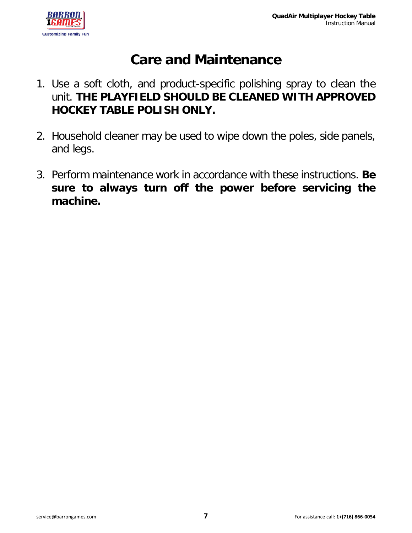

### **Care and Maintenance**

- 1. Use a soft cloth, and product-specific polishing spray to clean the unit. **THE PLAYFIELD SHOULD BE CLEANED WITH APPROVED HOCKEY TABLE POLISH ONLY.**
- 2. Household cleaner may be used to wipe down the poles, side panels, and legs.
- 3. Perform maintenance work in accordance with these instructions. **Be sure to always turn off the power before servicing the machine.**